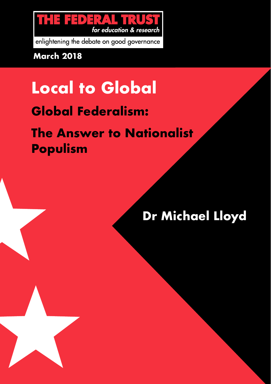

enlightening the debate on good governance

**March 2018**

# **Local to Global**

**Global Federalism:** 

# **The Answer to Nationalist Populism**

# **Dr Michael Lloyd**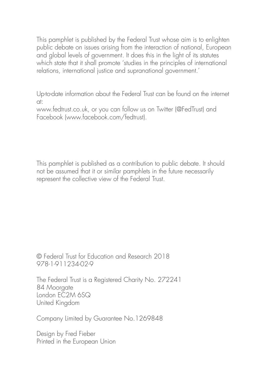This pamphlet is published by the Federal Trust whose aim is to enlighten public debate on issues arising from the interaction of national, European and global levels of government. It does this in the light of its statutes which state that it shall promote 'studies in the principles of international relations, international justice and supranational government.'

Up-to-date information about the Federal Trust can be found on the internet at:

www.fedtrust.co.uk, or you can follow us on Twitter (@FedTrust) and Facebook (www.facebook.com/fedtrust).

This pamphlet is published as a contribution to public debate. It should not be assumed that it or similar pamphlets in the future necessarily represent the collective view of the Federal Trust.

© Federal Trust for Education and Research 2018 978-1-911234-02-9

The Federal Trust is a Registered Charity No. 272241 84 Moorgate London EC2M 6SQ United Kingdom

Company Limited by Guarantee No.1269848

Design by Fred Fieber Printed in the European Union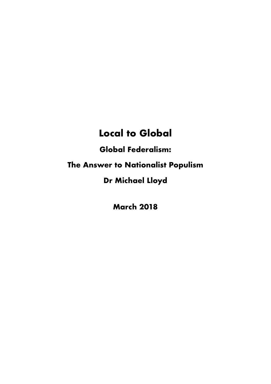# **Local to Global**

**Global Federalism:** 

**The Answer to Nationalist Populism**

**Dr Michael Lloyd**

**March 2018**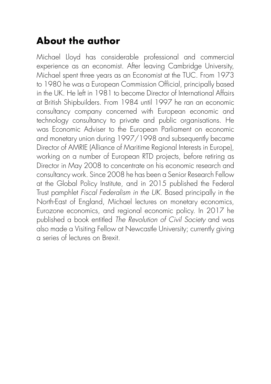# **About the author**

Michael Lloyd has considerable professional and commercial experience as an economist. After leaving Cambridge University, Michael spent three years as an Economist at the TUC. From 1973 to 1980 he was a European Commission Official, principally based in the UK. He left in 1981 to become Director of International Affairs at British Shipbuilders. From 1984 until 1997 he ran an economic consultancy company concerned with European economic and technology consultancy to private and public organisations. He was Economic Adviser to the European Parliament on economic and monetary union during 1997/1998 and subsequently became Director of AMRIE (Alliance of Maritime Regional Interests in Europe), working on a number of European RTD projects, before retiring as Director in May 2008 to concentrate on his economic research and consultancy work. Since 2008 he has been a Senior Research Fellow at the Global Policy Institute, and in 2015 published the Federal Trust pamphlet *Fiscal Federalism in the UK*. Based principally in the North-East of England, Michael lectures on monetary economics, Eurozone economics, and regional economic policy. In 2017 he published a book entitled *The Revolution of Civil Society* and was also made a Visiting Fellow at Newcastle University; currently giving a series of lectures on Brexit.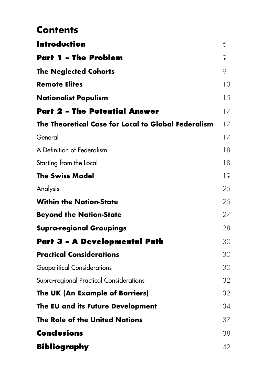#### **Contents**

| <b>Introduction</b>                                 | 6  |
|-----------------------------------------------------|----|
| <b>Part 1 - The Problem</b>                         | 9  |
| <b>The Neglected Cohorts</b>                        | 9  |
| <b>Remote Elites</b>                                | 13 |
| <b>Nationalist Populism</b>                         | 15 |
| <b>Part 2 - The Potential Answer</b>                | 17 |
| The Theoretical Case for Local to Global Federalism | 17 |
| General                                             | 17 |
| A Definition of Federalism                          | 18 |
| Starting from the Local                             | 18 |
| <b>The Swiss Model</b>                              | 19 |
| Analysis                                            | 25 |
| <b>Within the Nation-State</b>                      | 25 |
| <b>Beyond the Nation-State</b>                      | 27 |
| <b>Supra-regional Groupings</b>                     | 28 |
| <b>Part 3 - A Developmental Path</b>                | 30 |
| <b>Practical Considerations</b>                     | 30 |
| <b>Geopolitical Considerations</b>                  | 30 |
| Supra-regional Practical Considerations             | 32 |
| The UK (An Example of Barriers)                     | 32 |
| The EU and its Future Development                   | 34 |
| <b>The Role of the United Nations</b>               | 37 |
| <b>Conclusions</b>                                  | 38 |
| <b>Bibliography</b>                                 | 42 |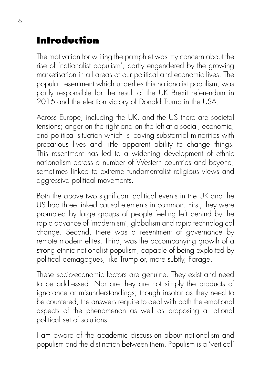#### **Introduction**

The motivation for writing the pamphlet was my concern about the rise of 'nationalist populism', partly engendered by the growing marketisation in all areas of our political and economic lives. The popular resentment which underlies this nationalist populism, was partly responsible for the result of the UK Brexit referendum in 2016 and the election victory of Donald Trump in the USA.

Across Europe, including the UK, and the US there are societal tensions; anger on the right and on the left at a social, economic, and political situation which is leaving substantial minorities with precarious lives and little apparent ability to change things. This resentment has led to a widening development of ethnic nationalism across a number of Western countries and beyond; sometimes linked to extreme fundamentalist religious views and aggressive political movements.

Both the above two significant political events in the UK and the US had three linked causal elements in common. First, they were prompted by large groups of people feeling left behind by the rapid advance of 'modernism', globalism and rapid technological change. Second, there was a resentment of governance by remote modern elites. Third, was the accompanying growth of a strong ethnic nationalist populism, capable of being exploited by political demagogues, like Trump or, more subtly, Farage.

These socio-economic factors are genuine. They exist and need to be addressed. Nor are they are not simply the products of ignorance or misunderstandings; though insofar as they need to be countered, the answers require to deal with both the emotional aspects of the phenomenon as well as proposing a rational political set of solutions.

I am aware of the academic discussion about nationalism and populism and the distinction between them. Populism is a 'vertical'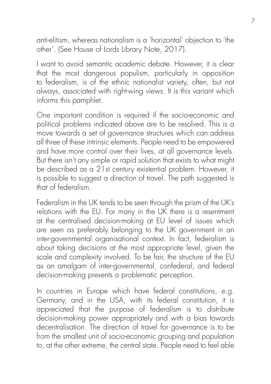anti-elitism, whereas nationalism is a 'horizontal' objection to 'the other'. (See House of Lords Library Note, 2017).

I want to avoid semantic academic debate. However, it is clear that the most dangerous populism, particularly in opposition to federalism, is of the ethnic nationalist variety, often, but not always, associated with right-wing views. It is this variant which informs this pamphlet.

One important condition is required if the socio-economic and political problems indicated above are to be resolved. This is a move towards a set of governance structures which can address all three of these intrinsic elements. People need to be empowered and have more control over their lives, at all governance levels. But there isn't any simple or rapid solution that exists to what might be described as a 21st century existential problem. However, it is possible to suggest a direction of travel. The path suggested is that of federalism.

Federalism in the UK tends to be seen through the prism of the UK's relations with the EU. For many in the UK there is a resentment at the centralised decision-making at EU level of issues which are seen as preferably belonging to the UK government in an inter-governmental organisational context. In fact, federalism is about taking decisions at the most appropriate level, given the scale and complexity involved. To be fair, the structure of the EU as an amalgam of inter-governmental, confederal, and federal decision-making presents a problematic perception.

In countries in Europe which have federal constitutions, e.g. Germany, and in the USA, with its federal constitution, it is appreciated that the purpose of federalism is to distribute decision-making power appropriately and with a bias towards decentralisation. The direction of travel for governance is to be from the smallest unit of socio-economic grouping and population to, at the other extreme, the central state. People need to feel able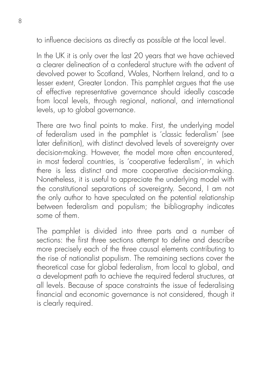to influence decisions as directly as possible at the local level.

In the UK it is only over the last 20 years that we have achieved a clearer delineation of a confederal structure with the advent of devolved power to Scotland, Wales, Northern Ireland, and to a lesser extent, Greater London. This pamphlet argues that the use of effective representative governance should ideally cascade from local levels, through regional, national, and international levels, up to global governance.

There are two final points to make. First, the underlying model of federalism used in the pamphlet is 'classic federalism' (see later definition), with distinct devolved levels of sovereignty over decision-making. However, the model more often encountered, in most federal countries, is 'cooperative federalism', in which there is less distinct and more cooperative decision-making. Nonetheless, it is useful to appreciate the underlying model with the constitutional separations of sovereignty. Second, I am not the only author to have speculated on the potential relationship between federalism and populism; the bibliography indicates some of them.

The pamphlet is divided into three parts and a number of sections: the first three sections attempt to define and describe more precisely each of the three causal elements contributing to the rise of nationalist populism. The remaining sections cover the theoretical case for global federalism, from local to global, and a development path to achieve the required federal structures, at all levels. Because of space constraints the issue of federalising financial and economic governance is not considered, though it is clearly required.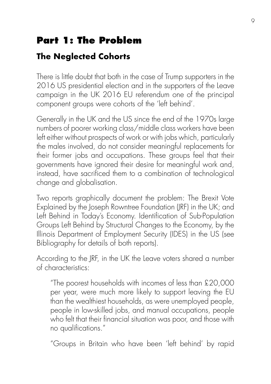### **Part 1: The Problem**

#### **The Neglected Cohorts**

There is little doubt that both in the case of Trump supporters in the 2016 US presidential election and in the supporters of the Leave campaign in the UK 2016 EU referendum one of the principal component groups were cohorts of the 'left behind'.

Generally in the UK and the US since the end of the 1970s large numbers of poorer working class/middle class workers have been left either without prospects of work or with jobs which, particularly the males involved, do not consider meaningful replacements for their former jobs and occupations. These groups feel that their governments have ignored their desire for meaningful work and, instead, have sacrificed them to a combination of technological change and globalisation.

Two reports graphically document the problem: The Brexit Vote Explained by the Joseph Rowntree Foundation (JRF) in the UK; and Left Behind in Today's Economy. Identification of Sub-Population Groups Left Behind by Structural Changes to the Economy, by the Illinois Department of Employment Security (IDES) in the US (see Bibliography for details of both reports).

According to the JRF, in the UK the Leave voters shared a number of characteristics:

"The poorest households with incomes of less than £20,000 per year, were much more likely to support leaving the EU than the wealthiest households, as were unemployed people, people in low-skilled jobs, and manual occupations, people who felt that their financial situation was poor, and those with no qualifications."

"Groups in Britain who have been 'left behind' by rapid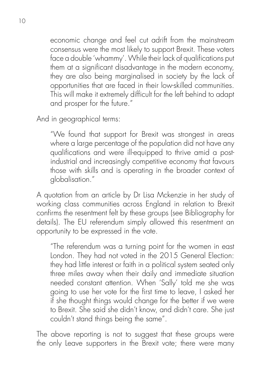economic change and feel cut adrift from the mainstream consensus were the most likely to support Brexit. These voters face a double 'whammy'. While their lack of qualifications put them at a significant disadvantage in the modern economy, they are also being marginalised in society by the lack of opportunities that are faced in their low-skilled communities. This will make it extremely difficult for the left behind to adapt and prosper for the future."

And in geographical terms:

"We found that support for Brexit was strongest in areas where a large percentage of the population did not have any qualifications and were ill-equipped to thrive amid a postindustrial and increasingly competitive economy that favours those with skills and is operating in the broader context of globalisation."

A quotation from an article by Dr Lisa Mckenzie in her study of working class communities across England in relation to Brexit confirms the resentment felt by these groups (see Bibliography for details). The EU referendum simply allowed this resentment an opportunity to be expressed in the vote.

"The referendum was a turning point for the women in east London. They had not voted in the 2015 General Election: they had little interest or faith in a political system seated only three miles away when their daily and immediate situation needed constant attention. When 'Sally' told me she was going to use her vote for the first time to leave, I asked her if she thought things would change for the better if we were to Brexit. She said she didn't know, and didn't care. She just couldn't stand things being the same".

The above reporting is not to suggest that these groups were the only Leave supporters in the Brexit vote; there were many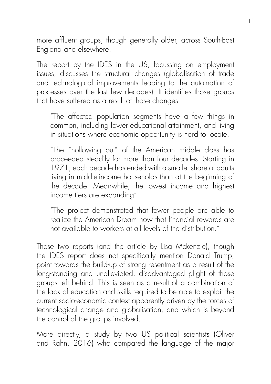more affluent groups, though generally older, across South-East England and elsewhere.

The report by the IDES in the US, focussing on employment issues, discusses the structural changes (globalisation of trade and technological improvements leading to the automation of processes over the last few decades). It identifies those groups that have suffered as a result of those changes.

"The affected population segments have a few things in common, including lower educational attainment, and living in situations where economic opportunity is hard to locate.

"The "hollowing out" of the American middle class has proceeded steadily for more than four decades. Starting in 1971, each decade has ended with a smaller share of adults living in middle-income households than at the beginning of the decade. Meanwhile, the lowest income and highest income tiers are expanding".

"The project demonstrated that fewer people are able to realize the American Dream now that financial rewards are not available to workers at all levels of the distribution."

These two reports (and the article by Lisa Mckenzie), though the IDES report does not specifically mention Donald Trump, point towards the build-up of strong resentment as a result of the long-standing and unalleviated, disadvantaged plight of those groups left behind. This is seen as a result of a combination of the lack of education and skills required to be able to exploit the current socio-economic context apparently driven by the forces of technological change and globalisation, and which is beyond the control of the groups involved.

More directly, a study by two US political scientists (Oliver and Rahn, 2016) who compared the language of the major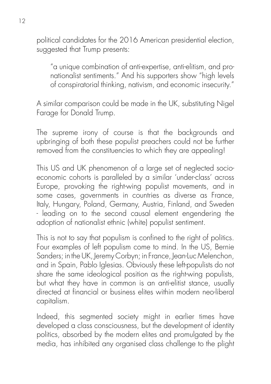political candidates for the 2016 American presidential election, suggested that Trump presents:

"a unique combination of anti-expertise, anti-elitism, and pronationalist sentiments." And his supporters show "high levels of conspiratorial thinking, nativism, and economic insecurity."

A similar comparison could be made in the UK, substituting Nigel Farage for Donald Trump.

The supreme irony of course is that the backgrounds and upbringing of both these populist preachers could not be further removed from the constituencies to which they are appealing!

This US and UK phenomenon of a large set of neglected socioeconomic cohorts is paralleled by a similar 'under-class' across Europe, provoking the right-wing populist movements, and in some cases, governments in countries as diverse as France, Italy, Hungary, Poland, Germany, Austria, Finland, and Sweden - leading on to the second causal element engendering the adoption of nationalist ethnic (white) populist sentiment.

This is not to say that populism is confined to the right of politics. Four examples of left populism come to mind. In the US, Bernie Sanders; in the UK, Jeremy Corbyn; in France, Jean-Luc Melenchon, and in Spain, Pablo Iglesias. Obviously these left-populists do not share the same ideological position as the right-wing populists, but what they have in common is an anti-elitist stance, usually directed at financial or business elites within modern neo-liberal capitalism.

Indeed, this segmented society might in earlier times have developed a class consciousness, but the development of identity politics, absorbed by the modern elites and promulgated by the media, has inhibited any organised class challenge to the plight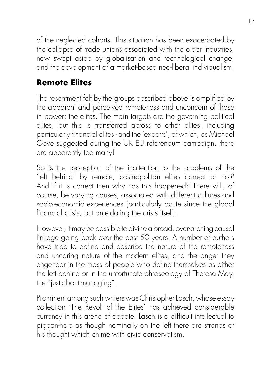of the neglected cohorts. This situation has been exacerbated by the collapse of trade unions associated with the older industries, now swept aside by globalisation and technological change, and the development of a market-based neo-liberal individualism.

#### **Remote Elites**

The resentment felt by the groups described above is amplified by the apparent and perceived remoteness and unconcern of those in power; the elites. The main targets are the governing political elites, but this is transferred across to other elites, including particularly financial elites - and the 'experts', of which, as Michael Gove suggested during the UK EU referendum campaign, there are apparently too many!

So is the perception of the inattention to the problems of the 'left behind' by remote, cosmopolitan elites correct or not? And if it is correct then why has this happened? There will, of course, be varying causes, associated with different cultures and socio-economic experiences (particularly acute since the global financial crisis, but ante-dating the crisis itself).

However, it may be possible to divine a broad, over-arching causal linkage going back over the past 50 years. A number of authors have tried to define and describe the nature of the remoteness and uncaring nature of the modern elites, and the anger they engender in the mass of people who define themselves as either the left behind or in the unfortunate phraseology of Theresa May, the "just-about-managing".

Prominent among such writers was Christopher Lasch, whose essay collection 'The Revolt of the Elites' has achieved considerable currency in this arena of debate. Lasch is a difficult intellectual to pigeon-hole as though nominally on the left there are strands of his thought which chime with civic conservatism.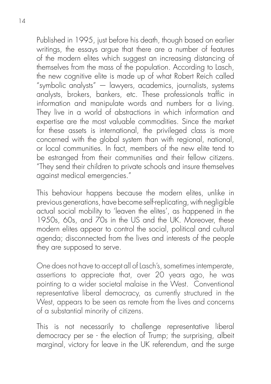Published in 1995, just before his death, though based on earlier writings, the essays argue that there are a number of features of the modern elites which suggest an increasing distancing of themselves from the mass of the population. According to Lasch, the new cognitive elite is made up of what Robert Reich called "symbolic analysts" — lawyers, academics, journalists, systems analysts, brokers, bankers, etc. These professionals traffic in information and manipulate words and numbers for a living. They live in a world of abstractions in which information and expertise are the most valuable commodities. Since the market for these assets is international, the privileged class is more concerned with the global system than with regional, national, or local communities. In fact, members of the new elite tend to be estranged from their communities and their fellow citizens. "They send their children to private schools and insure themselves against medical emergencies."

This behaviour happens because the modern elites, unlike in previous generations, have become self-replicating, with negligible actual social mobility to 'leaven the elites', as happened in the 1950s, 60s, and 70s in the US and the UK. Moreover, these modern elites appear to control the social, political and cultural agenda; disconnected from the lives and interests of the people they are supposed to serve.

One does not have to accept all of Lasch's, sometimes intemperate, assertions to appreciate that, over 20 years ago, he was pointing to a wider societal malaise in the West. Conventional representative liberal democracy, as currently structured in the West, appears to be seen as remote from the lives and concerns of a substantial minority of citizens.

This is not necessarily to challenge representative liberal democracy per se - the election of Trump; the surprising, albeit marginal, victory for leave in the UK referendum, and the surge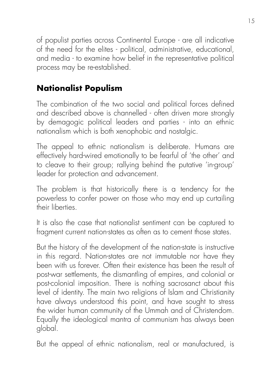of populist parties across Continental Europe - are all indicative of the need for the elites - political, administrative, educational, and media - to examine how belief in the representative political process may be re-established.

#### **Nationalist Populism**

The combination of the two social and political forces defined and described above is channelled - often driven more strongly by demagogic political leaders and parties - into an ethnic nationalism which is both xenophobic and nostalgic.

The appeal to ethnic nationalism is deliberate. Humans are effectively hard-wired emotionally to be fearful of 'the other' and to cleave to their group; rallying behind the putative 'in-group' leader for protection and advancement.

The problem is that historically there is a tendency for the powerless to confer power on those who may end up curtailing their liberties.

It is also the case that nationalist sentiment can be captured to fragment current nation-states as often as to cement those states.

But the history of the development of the nation-state is instructive in this regard. Nation-states are not immutable nor have they been with us forever. Often their existence has been the result of post-war settlements, the dismantling of empires, and colonial or post-colonial imposition. There is nothing sacrosanct about this level of identity. The main two religions of Islam and Christianity have always understood this point, and have sought to stress the wider human community of the Ummah and of Christendom. Equally the ideological mantra of communism has always been global.

But the appeal of ethnic nationalism, real or manufactured, is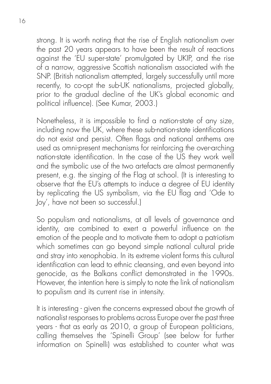strong. It is worth noting that the rise of English nationalism over the past 20 years appears to have been the result of reactions against the 'EU super-state' promulgated by UKIP, and the rise of a narrow, aggressive Scottish nationalism associated with the SNP. (British nationalism attempted, largely successfully until more recently, to co-opt the sub-UK nationalisms, projected globally, prior to the gradual decline of the UK's global economic and political influence). (See Kumar, 2003.)

Nonetheless, it is impossible to find a nation-state of any size, including now the UK, where these sub-nation-state identifications do not exist and persist. Often flags and national anthems are used as omni-present mechanisms for reinforcing the over-arching nation-state identification. In the case of the US they work well and the symbolic use of the two artefacts are almost permanently present, e.g. the singing of the Flag at school. (It is interesting to observe that the EU's attempts to induce a degree of EU identity by replicating the US symbolism, via the EU flag and 'Ode to Joy', have not been so successful.)

So populism and nationalisms, at all levels of governance and identity, are combined to exert a powerful influence on the emotion of the people and to motivate them to adopt a patriotism which sometimes can go beyond simple national cultural pride and stray into xenophobia. In its extreme violent forms this cultural identification can lead to ethnic cleansing, and even beyond into genocide, as the Balkans conflict demonstrated in the 1990s. However, the intention here is simply to note the link of nationalism to populism and its current rise in intensity.

It is interesting - given the concerns expressed about the growth of nationalist responses to problems across Europe over the past three years - that as early as 2010, a group of European politicians, calling themselves the 'Spinelli Group' (see below for further information on Spinelli) was established to counter what was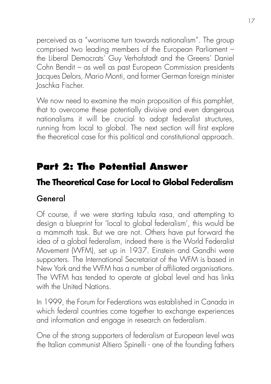perceived as a "worrisome turn towards nationalism". The group comprised two leading members of the European Parliament – the Liberal Democrats' Guy Verhofstadt and the Greens' Daniel Cohn Bendit – as well as past European Commission presidents Jacques Delors, Mario Monti, and former German foreign minister Joschka Fischer.

We now need to examine the main proposition of this pamphlet, that to overcome these potentially divisive and even dangerous nationalisms it will be crucial to adopt federalist structures, running from local to global. The next section will first explore the theoretical case for this political and constitutional approach.

# **Part 2: The Potential Answer**

#### **The Theoretical Case for Local to Global Federalism**

#### General

Of course, if we were starting tabula rasa, and attempting to design a blueprint for 'local to global federalism', this would be a mammoth task. But we are not. Others have put forward the idea of a global federalism, indeed there is the World Federalist Movement (WFM), set up in 1937. Einstein and Gandhi were supporters. The International Secretariat of the WFM is based in New York and the WFM has a number of affiliated organisations. The WFM has tended to operate at global level and has links with the United Nations.

In 1999, the Forum for Federations was established in Canada in which federal countries come together to exchange experiences and information and engage in research on federalism.

One of the strong supporters of federalism at European level was the Italian communist Altiero Spinelli - one of the founding fathers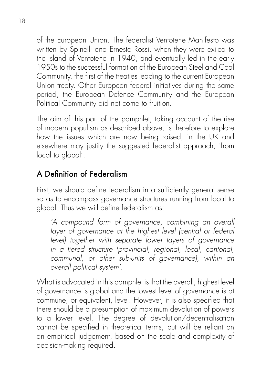of the European Union. The federalist Ventotene Manifesto was written by Spinelli and Ernesto Rossi, when they were exiled to the island of Ventotene in 1940, and eventually led in the early 1950s to the successful formation of the European Steel and Coal Community, the first of the treaties leading to the current European Union treaty. Other European federal initiatives during the same period, the European Defence Community and the European Political Community did not come to fruition.

The aim of this part of the pamphlet, taking account of the rise of modern populism as described above, is therefore to explore how the issues which are now being raised, in the UK and elsewhere may justify the suggested federalist approach, 'from local to global'.

#### A Definition of Federalism

First, we should define federalism in a sufficiently general sense so as to encompass governance structures running from local to global. Thus we will define federalism as:

*'A compound form of governance, combining an overall layer of governance at the highest level (central or federal level) together with separate lower layers of governance in a tiered structure (provincial, regional, local, cantonal, communal, or other sub-units of governance), within an overall political system'.*

What is advocated in this pamphlet is that the overall, highest level of governance is global and the lowest level of governance is at commune, or equivalent, level. However, it is also specified that there should be a presumption of maximum devolution of powers to a lower level. The degree of devolution/decentralisation cannot be specified in theoretical terms, but will be reliant on an empirical judgement, based on the scale and complexity of decision-making required.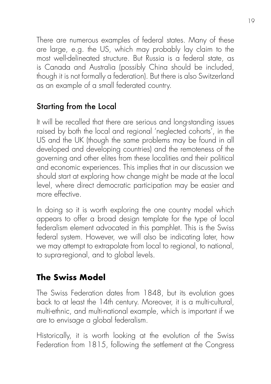There are numerous examples of federal states. Many of these are large, e.g. the US, which may probably lay claim to the most well-delineated structure. But Russia is a federal state, as is Canada and Australia (possibly China should be included, though it is not formally a federation). But there is also Switzerland as an example of a small federated country.

#### Starting from the Local

It will be recalled that there are serious and long-standing issues raised by both the local and regional 'neglected cohorts', in the US and the UK (though the same problems may be found in all developed and developing countries) and the remoteness of the governing and other elites from these localities and their political and economic experiences. This implies that in our discussion we should start at exploring how change might be made at the local level, where direct democratic participation may be easier and more effective.

In doing so it is worth exploring the one country model which appears to offer a broad design template for the type of local federalism element advocated in this pamphlet. This is the Swiss federal system. However, we will also be indicating later, how we may attempt to extrapolate from local to regional, to national, to supra-regional, and to global levels.

#### **The Swiss Model**

The Swiss Federation dates from 1848, but its evolution goes back to at least the 14th century. Moreover, it is a multi-cultural, multi-ethnic, and multi-national example, which is important if we are to envisage a global federalism.

Historically, it is worth looking at the evolution of the Swiss Federation from 1815, following the settlement at the Congress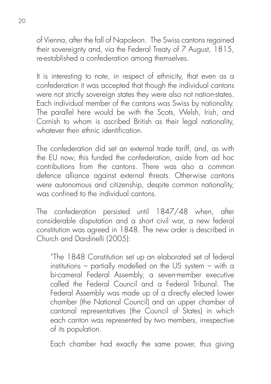of Vienna, after the fall of Napoleon. The Swiss cantons regained their sovereignty and, via the Federal Treaty of 7 August, 1815, re-established a confederation among themselves.

It is interesting to note, in respect of ethnicity, that even as a confederation it was accepted that though the individual cantons were not strictly sovereign states they were also not nation-states. Each individual member of the cantons was Swiss by nationality. The parallel here would be with the Scots, Welsh, Irish, and Cornish to whom is ascribed British as their legal nationality, whatever their ethnic identification.

The confederation did set an external trade tariff, and, as with the EU now, this funded the confederation, aside from ad hoc contributions from the cantons. There was also a common defence alliance against external threats. Otherwise cantons were autonomous and citizenship, despite common nationality, was confined to the individual cantons.

The confederation persisted until 1847/48 when, after considerable disputation and a short civil war, a new federal constitution was agreed in 1848. The new order is described in Church and Dardinelli (2005):

"The 1848 Constitution set up an elaborated set of federal institutions – partially modelled on the US system – with a bi-cameral Federal Assembly, a seven-member executive called the Federal Council and a Federal Tribunal. The Federal Assembly was made up of a directly elected lower chamber (the National Council) and an upper chamber of cantonal representatives (the Council of States) in which each canton was represented by two members, irrespective of its population.

Each chamber had exactly the same power, thus giving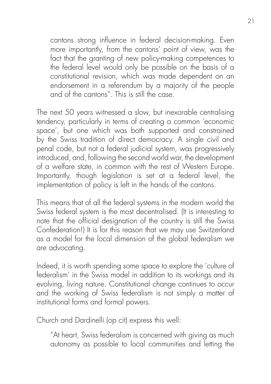cantons strong influence in federal decision-making. Even more importantly, from the cantons' point of view, was the fact that the granting of new policy-making competences to the federal level would only be possible on the basis of a constitutional revision, which was made dependent on an endorsement in a referendum by a majority of the people and of the cantons". This is still the case.

The next 50 years witnessed a slow, but inexorable centralising tendency, particularly in terms of creating a common 'economic space', but one which was both supported and constrained by the Swiss tradition of direct democracy. A single civil and penal code, but not a federal judicial system, was progressively introduced, and, following the second world war, the development of a welfare state, in common with the rest of Western Europe. Importantly, though legislation is set at a federal level, the implementation of policy is left in the hands of the cantons.

This means that of all the federal systems in the modern world the Swiss federal system is the most decentralised. (It is interesting to note that the official designation of the country is still the Swiss Confederation!) It is for this reason that we may use Switzerland as a model for the local dimension of the global federalism we are advocating.

Indeed, it is worth spending some space to explore the 'culture of federalism' in the Swiss model in addition to its workings and its evolving, living nature. Constitutional change continues to occur and the working of Swiss federalism is not simply a matter of institutional forms and formal powers.

Church and Dardinelli (op cit) express this well:

"At heart, Swiss federalism is concerned with giving as much autonomy as possible to local communities and letting the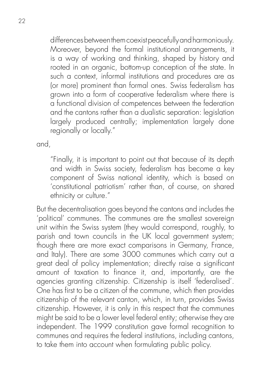differences between them coexist peacefully and harmoniously. Moreover, beyond the formal institutional arrangements, it is a way of working and thinking, shaped by history and rooted in an organic, bottom-up conception of the state. In such a context, informal institutions and procedures are as (or more) prominent than formal ones. Swiss federalism has grown into a form of cooperative federalism where there is a functional division of competences between the federation and the cantons rather than a dualistic separation: legislation largely produced centrally; implementation largely done regionally or locally."

and,

"Finally, it is important to point out that because of its depth and width in Swiss society, federalism has become a key component of Swiss national identity, which is based on 'constitutional patriotism' rather than, of course, on shared ethnicity or culture."

But the decentralisation goes beyond the cantons and includes the 'political' communes. The communes are the smallest sovereign unit within the Swiss system (they would correspond, roughly, to parish and town councils in the UK local government system; though there are more exact comparisons in Germany, France, and Italy). There are some 3000 communes which carry out a great deal of policy implementation; directly raise a significant amount of taxation to finance it, and, importantly, are the agencies granting citizenship. Citizenship is itself 'federalised'. One has first to be a citizen of the commune, which then provides citizenship of the relevant canton, which, in turn, provides Swiss citizenship. However, it is only in this respect that the communes might be said to be a lower level federal entity; otherwise they are independent. The 1999 constitution gave formal recognition to communes and requires the federal institutions, including cantons, to take them into account when formulating public policy.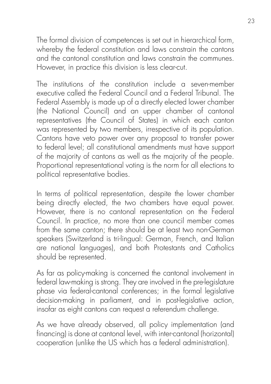The formal division of competences is set out in hierarchical form, whereby the federal constitution and laws constrain the cantons and the cantonal constitution and laws constrain the communes. However, in practice this division is less clear-cut.

The institutions of the constitution include a seven-member executive called the Federal Council and a Federal Tribunal. The Federal Assembly is made up of a directly elected lower chamber (the National Council) and an upper chamber of cantonal representatives (the Council of States) in which each canton was represented by two members, irrespective of its population. Cantons have veto power over any proposal to transfer power to federal level; all constitutional amendments must have support of the majority of cantons as well as the majority of the people. Proportional representational voting is the norm for all elections to political representative bodies.

In terms of political representation, despite the lower chamber being directly elected, the two chambers have equal power. However, there is no cantonal representation on the Federal Council. In practice, no more than one council member comes from the same canton; there should be at least two non-German speakers (Switzerland is tri-lingual: German, French, and Italian are national languages), and both Protestants and Catholics should be represented.

As far as policy-making is concerned the cantonal involvement in federal law-making is strong. They are involved in the pre-legislature phase via federal-cantonal conferences; in the formal legislative decision-making in parliament, and in post-legislative action, insofar as eight cantons can request a referendum challenge.

As we have already observed, all policy implementation (and financing) is done at cantonal level, with inter-cantonal (horizontal) cooperation (unlike the US which has a federal administration).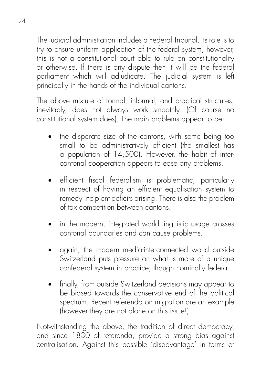The judicial administration includes a Federal Tribunal. Its role is to try to ensure uniform application of the federal system, however, this is not a constitutional court able to rule on constitutionality or otherwise. If there is any dispute then it will be the federal parliament which will adjudicate. The judicial system is left principally in the hands of the individual cantons.

The above mixture of formal, informal, and practical structures, inevitably, does not always work smoothly. (Of course no constitutional system does). The main problems appear to be:

- the disparate size of the cantons, with some being too small to be administratively efficient (the smallest has a population of 14,500). However, the habit of intercantonal cooperation appears to ease any problems.
- efficient fiscal federalism is problematic, particularly in respect of having an efficient equalisation system to remedy incipient deficits arising. There is also the problem of tax competition between cantons.
- in the modern, integrated world linguistic usage crosses cantonal boundaries and can cause problems.
- again, the modern media-interconnected world outside Switzerland puts pressure on what is more of a unique confederal system in practice; though nominally federal.
- finally, from outside Switzerland decisions may appear to be biased towards the conservative end of the political spectrum. Recent referenda on migration are an example (however they are not alone on this issue!).

Notwithstanding the above, the tradition of direct democracy, and since 1830 of referenda, provide a strong bias against centralisation. Against this possible 'disadvantage' in terms of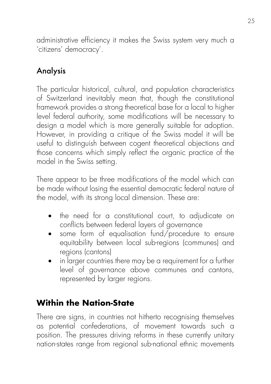administrative efficiency it makes the Swiss system very much a 'citizens' democracy'.

#### Analysis

The particular historical, cultural, and population characteristics of Switzerland inevitably mean that, though the constitutional framework provides a strong theoretical base for a local to higher level federal authority, some modifications will be necessary to design a model which is more generally suitable for adoption. However, in providing a critique of the Swiss model it will be useful to distinguish between cogent theoretical objections and those concerns which simply reflect the organic practice of the model in the Swiss setting.

There appear to be three modifications of the model which can be made without losing the essential democratic federal nature of the model, with its strong local dimension. These are:

- the need for a constitutional court, to adjudicate on conflicts between federal layers of governance
- some form of equalisation fund/procedure to ensure equitability between local sub-regions (communes) and regions (cantons)
- in larger countries there may be a requirement for a further level of governance above communes and cantons, represented by larger regions.

# **Within the Nation-State**

There are signs, in countries not hitherto recognising themselves as potential confederations, of movement towards such a position. The pressures driving reforms in these currently unitary nation-states range from regional sub-national ethnic movements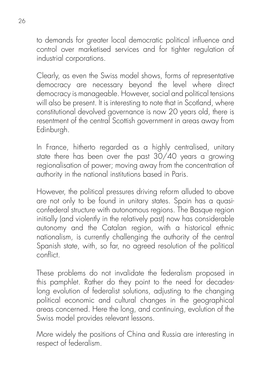to demands for greater local democratic political influence and control over marketised services and for tighter regulation of industrial corporations.

Clearly, as even the Swiss model shows, forms of representative democracy are necessary beyond the level where direct democracy is manageable. However, social and political tensions will also be present. It is interesting to note that in Scotland, where constitutional devolved governance is now 20 years old, there is resentment of the central Scottish government in areas away from Edinburgh.

In France, hitherto regarded as a highly centralised, unitary state there has been over the past 30/40 years a growing regionalisation of power; moving away from the concentration of authority in the national institutions based in Paris.

However, the political pressures driving reform alluded to above are not only to be found in unitary states. Spain has a quasiconfederal structure with autonomous regions. The Basque region initially (and violently in the relatively past) now has considerable autonomy and the Catalan region, with a historical ethnic nationalism, is currently challenging the authority of the central Spanish state, with, so far, no agreed resolution of the political conflict.

These problems do not invalidate the federalism proposed in this pamphlet. Rather do they point to the need for decadeslong evolution of federalist solutions, adjusting to the changing political economic and cultural changes in the geographical areas concerned. Here the long, and continuing, evolution of the Swiss model provides relevant lessons.

More widely the positions of China and Russia are interesting in respect of federalism.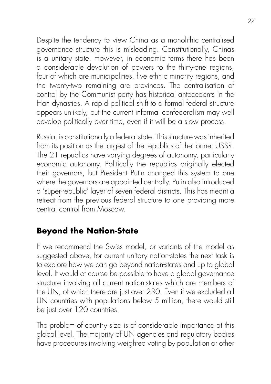Despite the tendency to view China as a monolithic centralised governance structure this is misleading. Constitutionally, Chinas is a unitary state. However, in economic terms there has been a considerable devolution of powers to the thirty-one regions, four of which are municipalities, five ethnic minority regions, and the twenty-two remaining are provinces. The centralisation of control by the Communist party has historical antecedents in the Han dynasties. A rapid political shift to a formal federal structure appears unlikely, but the current informal confederalism may well develop politically over time, even if it will be a slow process.

Russia, is constitutionally a federal state. This structure was inherited from its position as the largest of the republics of the former USSR. The 21 republics have varying degrees of autonomy, particularly economic autonomy. Politically the republics originally elected their governors, but President Putin changed this system to one where the governors are appointed centrally. Putin also introduced a 'super-republic' layer of seven federal districts. This has meant a retreat from the previous federal structure to one providing more central control from Moscow.

#### **Beyond the Nation-State**

If we recommend the Swiss model, or variants of the model as suggested above, for current unitary nation-states the next task is to explore how we can go beyond nation-states and up to global level. It would of course be possible to have a global governance structure involving all current nation-states which are members of the UN, of which there are just over 230. Even if we excluded all UN countries with populations below 5 million, there would still be just over 120 countries.

The problem of country size is of considerable importance at this global level. The majority of UN agencies and regulatory bodies have procedures involving weighted voting by population or other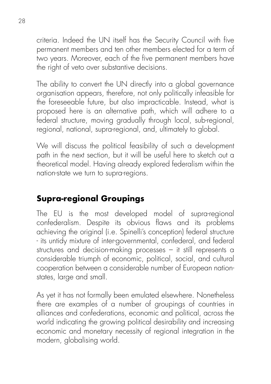criteria. Indeed the UN itself has the Security Council with five permanent members and ten other members elected for a term of two years. Moreover, each of the five permanent members have the right of veto over substantive decisions.

The ability to convert the UN directly into a global governance organisation appears, therefore, not only politically infeasible for the foreseeable future, but also impracticable. Instead, what is proposed here is an alternative path, which will adhere to a federal structure, moving gradually through local, sub-regional, regional, national, supra-regional, and, ultimately to global.

We will discuss the political feasibility of such a development path in the next section, but it will be useful here to sketch out a theoretical model. Having already explored federalism within the nation-state we turn to supra-regions.

#### **Supra-regional Groupings**

The EU is the most developed model of supra-regional confederalism. Despite its obvious flaws and its problems achieving the original (i.e. Spinelli's conception) federal structure - its untidy mixture of inter-governmental, confederal, and federal structures and decision-making processes – it still represents a considerable triumph of economic, political, social, and cultural cooperation between a considerable number of European nationstates, large and small.

As yet it has not formally been emulated elsewhere. Nonetheless there are examples of a number of groupings of countries in alliances and confederations, economic and political, across the world indicating the growing political desirability and increasing economic and monetary necessity of regional integration in the modern, globalising world.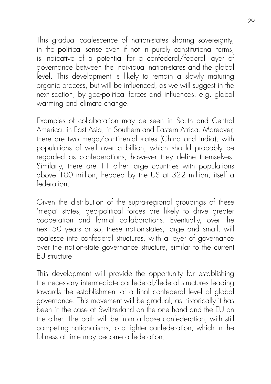This gradual coalescence of nation-states sharing sovereignty, in the political sense even if not in purely constitutional terms, is indicative of a potential for a confederal/federal layer of governance between the individual nation-states and the global level. This development is likely to remain a slowly maturing organic process, but will be influenced, as we will suggest in the next section, by geo-political forces and influences, e.g. global warming and climate change.

Examples of collaboration may be seen in South and Central America, in East Asia, in Southern and Eastern Africa. Moreover, there are two mega/continental states (China and India), with populations of well over a billion, which should probably be regarded as confederations, however they define themselves. Similarly, there are 11 other large countries with populations above 100 million, headed by the US at 322 million, itself a federation.

Given the distribution of the supra-regional groupings of these 'mega' states, geo-political forces are likely to drive greater cooperation and formal collaborations. Eventually, over the next 50 years or so, these nation-states, large and small, will coalesce into confederal structures, with a layer of governance over the nation-state governance structure, similar to the current EU structure.

This development will provide the opportunity for establishing the necessary intermediate confederal/federal structures leading towards the establishment of a final confederal level of global governance. This movement will be gradual, as historically it has been in the case of Switzerland on the one hand and the EU on the other. The path will be from a loose confederation, with still competing nationalisms, to a tighter confederation, which in the fullness of time may become a federation.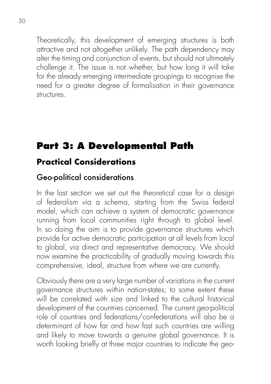Theoretically, this development of emerging structures is both attractive and not altogether unlikely. The path dependency may alter the timing and conjunction of events, but should not ultimately challenge it. The issue is not whether, but how long it will take for the already emerging intermediate groupings to recognise the need for a greater degree of formalisation in their governance structures.

# **Part 3: A Developmental Path**

#### **Practical Considerations**

#### Geo-political considerations

In the last section we set out the theoretical case for a design of federalism via a schema, starting from the Swiss federal model, which can achieve a system of democratic governance running from local communities right through to global level. In so doing the aim is to provide governance structures which provide for active democratic participation at all levels from local to global, via direct and representative democracy. We should now examine the practicability of gradually moving towards this comprehensive, ideal, structure from where we are currently.

Obviously there are a very large number of variations in the current governance structures within nation-states; to some extent these will be correlated with size and linked to the cultural historical development of the countries concerned. The current geo-political role of countries and federations/confederations will also be a determinant of how far and how fast such countries are willing and likely to move towards a genuine global governance. It is worth looking briefly at three major countries to indicate the geo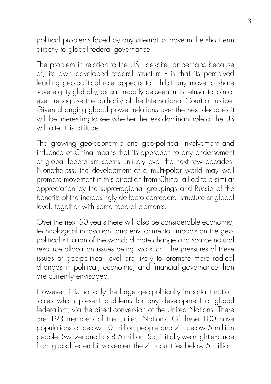political problems faced by any attempt to move in the short-term directly to global federal governance.

The problem in relation to the US - despite, or perhaps because of, its own developed federal structure - is that its perceived leading geo-political role appears to inhibit any move to share sovereignty globally, as can readily be seen in its refusal to join or even recognise the authority of the International Court of Justice. Given changing global power relations over the next decades it will be interesting to see whether the less dominant role of the US will alter this attitude.

The growing geo-economic and geo-political involvement and influence of China means that its approach to any endorsement of global federalism seems unlikely over the next few decades. Nonetheless, the development of a multi-polar world may well promote movement in this direction from China, allied to a similar appreciation by the supra-regional groupings and Russia of the benefits of the increasingly de facto confederal structure at global level, together with some federal elements.

Over the next 50 years there will also be considerable economic, technological innovation, and environmental impacts on the geopolitical situation of the world; climate change and scarce natural resource allocation issues being two such. The pressures of these issues at geo-political level are likely to promote more radical changes in political, economic, and financial governance than are currently envisaged.

However, it is not only the large geo-politically important nationstates which present problems for any development of global federalism, via the direct conversion of the United Nations. There are 193 members of the United Nations. Of these 100 have populations of below 10 million people and 71 below 5 million people. Switzerland has 8.5 million. So, initially we might exclude from global federal involvement the 71 countries below 5 million.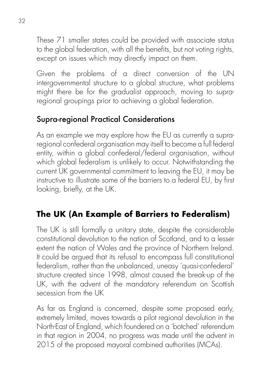These 71 smaller states could be provided with associate status to the global federation, with all the benefits, but not voting rights, except on issues which may directly impact on them.

Given the problems of a direct conversion of the UN intergovernmental structure to a global structure, what problems might there be for the gradualist approach, moving to supraregional groupings prior to achieving a global federation.

#### Supra-regional Practical Considerations

As an example we may explore how the EU as currently a supraregional confederal organisation may itself to become a full federal entity, within a global confederal/federal organisation, without which global federalism is unlikely to occur. Notwithstanding the current UK governmental commitment to leaving the EU, it may be instructive to illustrate some of the barriers to a federal EU, by first looking, briefly, at the UK.

#### **The UK (An Example of Barriers to Federalism)**

The UK is still formally a unitary state, despite the considerable constitutional devolution to the nation of Scotland, and to a lesser extent the nation of Wales and the province of Northern Ireland. It could be argued that its refusal to encompass full constitutional federalism, rather than the unbalanced, uneasy 'quasi-confederal' structure created since 1998, almost caused the break-up of the UK, with the advent of the mandatory referendum on Scottish secession from the UK

As far as England is concerned, despite some proposed early, extremely limited, moves towards a pilot regional devolution in the North-East of England, which foundered on a 'botched' referendum in that region in 2004, no progress was made until the advent in 2015 of the proposed mayoral combined authorities (MCAs).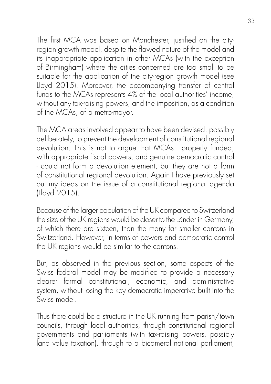The first MCA was based on Manchester, justified on the cityregion growth model, despite the flawed nature of the model and its inappropriate application in other MCAs (with the exception of Birmingham) where the cities concerned are too small to be suitable for the application of the city-region growth model (see Lloyd 2015). Moreover, the accompanying transfer of central funds to the MCAs represents 4% of the local authorities' income, without any tax-raising powers, and the imposition, as a condition of the MCAs, of a metro-mayor.

The MCA areas involved appear to have been devised, possibly deliberately, to prevent the development of constitutional regional devolution. This is not to argue that MCAs - properly funded, with appropriate fiscal powers, and genuine democratic control - could not form a devolution element, but they are not a form of constitutional regional devolution. Again I have previously set out my ideas on the issue of a constitutional regional agenda (Lloyd 2015).

Because of the larger population of the UK compared to Switzerland the size of the UK regions would be closer to the Länder in Germany, of which there are sixteen, than the many far smaller cantons in Switzerland. However, in terms of powers and democratic control the UK regions would be similar to the cantons.

But, as observed in the previous section, some aspects of the Swiss federal model may be modified to provide a necessary clearer formal constitutional, economic, and administrative system, without losing the key democratic imperative built into the Swiss model.

Thus there could be a structure in the UK running from parish/town councils, through local authorities, through constitutional regional governments and parliaments (with tax-raising powers, possibly land value taxation), through to a bicameral national parliament,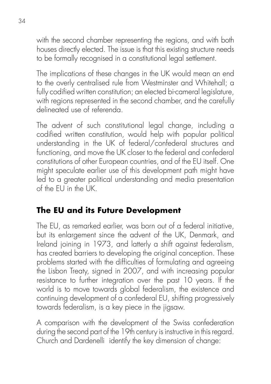with the second chamber representing the regions, and with both houses directly elected. The issue is that this existing structure needs to be formally recognised in a constitutional legal settlement.

The implications of these changes in the UK would mean an end to the overly centralised rule from Westminster and Whitehall; a fully codified written constitution; an elected bi-cameral legislature, with regions represented in the second chamber, and the carefully delineated use of referenda.

The advent of such constitutional legal change, including a codified written constitution, would help with popular political understanding in the UK of federal/confederal structures and functioning, and move the UK closer to the federal and confederal constitutions of other European countries, and of the EU itself. One might speculate earlier use of this development path might have led to a greater political understanding and media presentation of the EU in the UK.

#### **The EU and its Future Development**

The EU, as remarked earlier, was born out of a federal initiative, but its enlargement since the advent of the UK, Denmark, and Ireland joining in 1973, and latterly a shift against federalism, has created barriers to developing the original conception. These problems started with the difficulties of formulating and agreeing the Lisbon Treaty, signed in 2007, and with increasing popular resistance to further integration over the past 10 years. If the world is to move towards global federalism, the existence and continuing development of a confederal EU, shifting progressively towards federalism, is a key piece in the jigsaw.

A comparison with the development of the Swiss confederation during the second part of the 19th century is instructive in this regard. Church and Dardenelli identify the key dimension of change: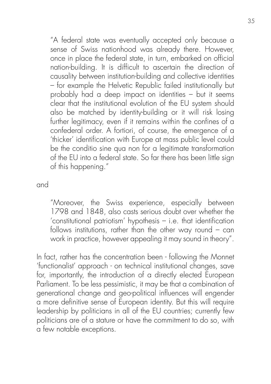"A federal state was eventually accepted only because a sense of Swiss nationhood was already there. However, once in place the federal state, in turn, embarked on official nation-building. It is difficult to ascertain the direction of causality between institution-building and collective identities – for example the Helvetic Republic failed institutionally but probably had a deep impact on identities – but it seems clear that the institutional evolution of the EU system should also be matched by identity-building or it will risk losing further legitimacy, even if it remains within the confines of a confederal order. A fortiori, of course, the emergence of a 'thicker' identification with Europe at mass public level could be the conditio sine qua non for a legitimate transformation of the EU into a federal state. So far there has been little sign of this happening."

and

"Moreover, the Swiss experience, especially between 1798 and 1848, also casts serious doubt over whether the 'constitutional patriotism' hypothesis – i.e. that identification follows institutions, rather than the other way round – can work in practice, however appealing it may sound in theory".

In fact, rather has the concentration been - following the Monnet 'functionalist' approach - on technical institutional changes, save for, importantly, the introduction of a directly elected European Parliament. To be less pessimistic, it may be that a combination of generational change and geo-political influences will engender a more definitive sense of European identity. But this will require leadership by politicians in all of the EU countries; currently few politicians are of a stature or have the commitment to do so, with a few notable exceptions.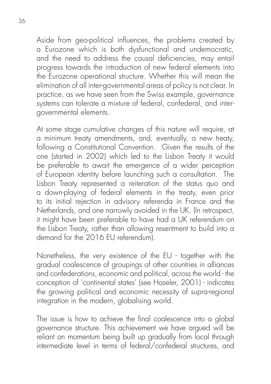Aside from geo-political influences, the problems created by a Eurozone which is both dysfunctional and undemocratic, and the need to address the causal deficiencies, may entail progress towards the introduction of new federal elements into the Eurozone operational structure. Whether this will mean the elimination of all inter-governmental areas of policy is not clear. In practice, as we have seen from the Swiss example, governance systems can tolerate a mixture of federal, confederal, and intergovernmental elements.

At some stage cumulative changes of this nature will require, at a minimum treaty amendments, and, eventually, a new treaty, following a Constitutional Convention. Given the results of the one (started in 2002) which led to the Lisbon Treaty it would be preferable to await the emergence of a wider perception of European identity before launching such a consultation. The Lisbon Treaty represented a reiteration of the status quo and a down-playing of federal elements in the treaty, even prior to its initial rejection in advisory referenda in France and the Netherlands, and one narrowly avoided in the UK. (In retrospect, it might have been preferable to have had a UK referendum on the Lisbon Treaty, rather than allowing resentment to build into a demand for the 2016 EU referendum).

Nonetheless, the very existence of the EU - together with the gradual coalescence of groupings of other countries in alliances and confederations, economic and political, across the world - the conception of 'continental states' (see Haseler, 2001) - indicates the growing political and economic necessity of supra-regional integration in the modern, globalising world.

The issue is how to achieve the final coalescence into a global governance structure. This achievement we have argued will be reliant on momentum being built up gradually from local through intermediate level in terms of federal/confederal structures, and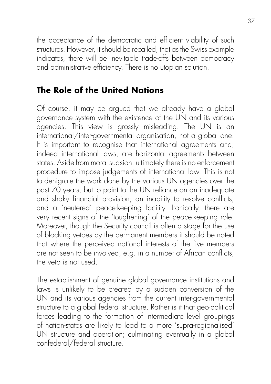the acceptance of the democratic and efficient viability of such structures. However, it should be recalled, that as the Swiss example indicates, there will be inevitable trade-offs between democracy and administrative efficiency. There is no utopian solution.

#### **The Role of the United Nations**

Of course, it may be argued that we already have a global governance system with the existence of the UN and its various agencies. This view is grossly misleading. The UN is an international/inter-governmental organisation, not a global one. It is important to recognise that international agreements and, indeed international laws, are horizontal agreements between states. Aside from moral suasion, ultimately there is no enforcement procedure to impose judgements of international law. This is not to denigrate the work done by the various UN agencies over the past 70 years, but to point to the UN reliance on an inadequate and shaky financial provision; an inability to resolve conflicts, and a 'neutered' peace-keeping facility. Ironically, there are very recent signs of the 'toughening' of the peace-keeping role. Moreover, though the Security council is often a stage for the use of blocking vetoes by the permanent members it should be noted that where the perceived national interests of the five members are not seen to be involved, e.g. in a number of African conflicts, the veto is not used.

The establishment of genuine global governance institutions and laws is unlikely to be created by a sudden conversion of the UN and its various agencies from the current inter-governmental structure to a global federal structure. Rather is it that geo-political forces leading to the formation of intermediate level groupings of nation-states are likely to lead to a more 'supra-regionalised' UN structure and operation; culminating eventually in a global confederal/federal structure.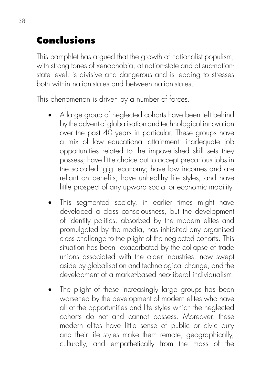# **Conclusions**

This pamphlet has argued that the growth of nationalist populism, with strong tones of xenophobia, at nation-state and at sub-nationstate level, is divisive and dangerous and is leading to stresses both within nation-states and between nation-states.

This phenomenon is driven by a number of forces.

- A large group of neglected cohorts have been left behind by the advent of globalisation and technological innovation over the past 40 years in particular. These groups have a mix of low educational attainment; inadequate job opportunities related to the impoverished skill sets they possess; have little choice but to accept precarious jobs in the so-called 'gig' economy; have low incomes and are reliant on benefits; have unhealthy life styles, and have little prospect of any upward social or economic mobility.
- This segmented society, in earlier times might have developed a class consciousness, but the development of identity politics, absorbed by the modern elites and promulgated by the media, has inhibited any organised class challenge to the plight of the neglected cohorts. This situation has been exacerbated by the collapse of trade unions associated with the older industries, now swept aside by globalisation and technological change, and the development of a market-based neo-liberal individualism.
- The plight of these increasingly large groups has been worsened by the development of modern elites who have all of the opportunities and life styles which the neglected cohorts do not and cannot possess. Moreover, these modern elites have little sense of public or civic duty and their life styles make them remote, geographically, culturally, and empathetically from the mass of the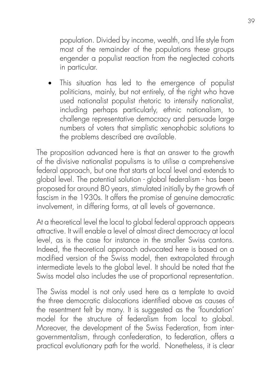population. Divided by income, wealth, and life style from most of the remainder of the populations these groups engender a populist reaction from the neglected cohorts in particular.

This situation has led to the emergence of populist politicians, mainly, but not entirely, of the right who have used nationalist populist rhetoric to intensify nationalist, including perhaps particularly, ethnic nationalism, to challenge representative democracy and persuade large numbers of voters that simplistic xenophobic solutions to the problems described are available.

The proposition advanced here is that an answer to the growth of the divisive nationalist populisms is to utilise a comprehensive federal approach, but one that starts at local level and extends to global level. The potential solution - global federalism - has been proposed for around 80 years, stimulated initially by the growth of fascism in the 1930s. It offers the promise of genuine democratic involvement, in differing forms, at all levels of governance.

At a theoretical level the local to global federal approach appears attractive. It will enable a level of almost direct democracy at local level, as is the case for instance in the smaller Swiss cantons. Indeed, the theoretical approach advocated here is based on a modified version of the Swiss model, then extrapolated through intermediate levels to the global level. It should be noted that the Swiss model also includes the use of proportional representation.

The Swiss model is not only used here as a template to avoid the three democratic dislocations identified above as causes of the resentment felt by many. It is suggested as the 'foundation' model for the structure of federalism from local to global. Moreover, the development of the Swiss Federation, from intergovernmentalism, through confederation, to federation, offers a practical evolutionary path for the world. Nonetheless, it is clear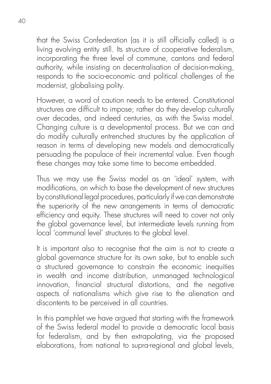that the Swiss Confederation (as it is still officially called) is a living evolving entity still. Its structure of cooperative federalism, incorporating the three level of commune, cantons and federal authority, while insisting on decentralisation of decision-making, responds to the socio-economic and political challenges of the modernist, globalising polity.

However, a word of caution needs to be entered. Constitutional structures are difficult to impose; rather do they develop culturally over decades, and indeed centuries, as with the Swiss model. Changing culture is a developmental process. But we can and do modify culturally entrenched structures by the application of reason in terms of developing new models and democratically persuading the populace of their incremental value. Even though these changes may take some time to become embedded.

Thus we may use the Swiss model as an 'ideal' system, with modifications, on which to base the development of new structures by constitutional legal procedures, particularly if we can demonstrate the superiority of the new arrangements in terms of democratic efficiency and equity. These structures will need to cover not only the global governance level, but intermediate levels running from local 'communal level' structures to the global level.

It is important also to recognise that the aim is not to create a global governance structure for its own sake, but to enable such a structured governance to constrain the economic inequities in wealth and income distribution, unmanaged technological innovation, financial structural distortions, and the negative aspects of nationalisms which give rise to the alienation and discontents to be perceived in all countries.

In this pamphlet we have argued that starting with the framework of the Swiss federal model to provide a democratic local basis for federalism, and by then extrapolating, via the proposed elaborations, from national to supra-regional and global levels,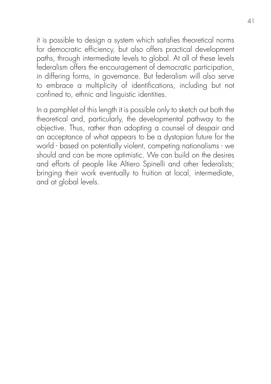it is possible to design a system which satisfies theoretical norms for democratic efficiency, but also offers practical development paths, through intermediate levels to global. At all of these levels federalism offers the encouragement of democratic participation, in differing forms, in governance. But federalism will also serve to embrace a multiplicity of identifications, including but not confined to, ethnic and linguistic identities.

In a pamphlet of this length it is possible only to sketch out both the theoretical and, particularly, the developmental pathway to the objective. Thus, rather than adopting a counsel of despair and an acceptance of what appears to be a dystopian future for the world - based on potentially violent, competing nationalisms - we should and can be more optimistic. We can build on the desires and efforts of people like Altiero Spinelli and other federalists; bringing their work eventually to fruition at local, intermediate, and at global levels.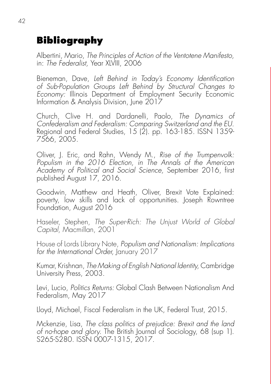# **Bibliography**

Albertini, Mario, *The Principles of Action of the Ventotene Manifesto,*  in: *The Federalist,* Year XLVIII, 2006

Bieneman, Dave, *Left Behind in Today's Economy Identification of Sub-Population Groups Left Behind by Structural Changes to Economy:* Illinois Department of Employment Security Economic Information & Analysis Division, June 2017

Church, Clive H. and Dardanelli, Paolo, *The Dynamics of Confederalism and Federalism: Comparing Switzerland and the EU.*  Regional and Federal Studies, 15 (2). pp. 163-185. ISSN 1359- 7566, 2005.

Oliver, J. Eric, and Rahn, Wendy M., *Rise of the Trumpenvolk: Populism in the 2016 Election, in The Annals of the American Academy of Political and Social Science,* September 2016, first published August 17, 2016.

Goodwin, Matthew and Heath, Oliver, Brexit Vote Explained: poverty, low skills and lack of opportunities. Joseph Rowntree Foundation, August 2016

Haseler, Stephen, *The Super-Rich: The Unjust World of Global Capital,* Macmillan, 2001

House of Lords Library Note, *Populism and Nationalism: Implications for the International Order,* January 2017

Kumar, Krishnan, *The Making of English National Identity,* Cambridge University Press, 2003.

Levi, Lucio, *Politics Returns:* Global Clash Between Nationalism And Federalism, May 2017

Lloyd, Michael, Fiscal Federalism in the UK, Federal Trust, 2015.

Mckenzie, Lisa, *The class politics of prejudice: Brexit and the land of no-hope and glory.* The British Journal of Sociology, 68 (sup 1). S265-S280. ISSN 0007-1315, 2017.